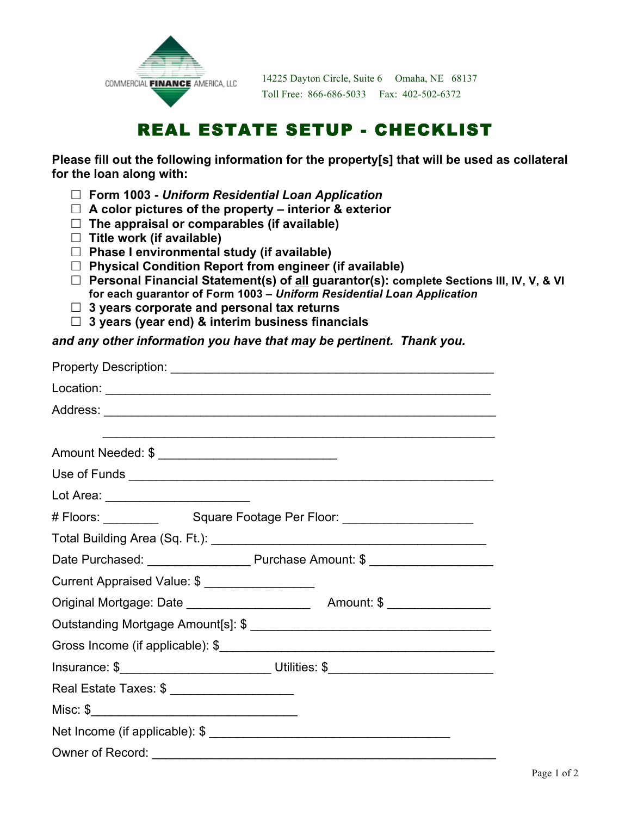

14225 Dayton Circle, Suite 6 Omaha, NE 68137 Toll Free: 866-686-5033 Fax: 402-502-6372

## REAL ESTATE SETUP - CHECKLIST

**Please fill out the following information for the property[s] that will be used as collateral for the loan along with:**

- ! **Form 1003 -** *Uniform Residential Loan Application*
- ! **A color pictures of the property – interior & exterior**
- ! **The appraisal or comparables (if available)**
- ! **Title work (if available)**
- ! **Phase I environmental study (if available)**
- ! **Physical Condition Report from engineer (if available)**
- ! **Personal Financial Statement(s) of all guarantor(s): complete Sections III, IV, V, & VI for each guarantor of Form 1003 –** *Uniform Residential Loan Application*
- ! **3 years corporate and personal tax returns**
- ! **3 years (year end) & interim business financials**

## *and any other information you have that may be pertinent. Thank you.*

|                                | ,我们也不会有什么。""我们的人,我们也不会有什么?""我们的人,我们也不会有什么?""我们的人,我们也不会有什么?""我们的人,我们也不会有什么?""我们的人   |  |  |  |
|--------------------------------|------------------------------------------------------------------------------------|--|--|--|
| Amount Needed: \$              |                                                                                    |  |  |  |
|                                |                                                                                    |  |  |  |
|                                |                                                                                    |  |  |  |
|                                |                                                                                    |  |  |  |
|                                |                                                                                    |  |  |  |
|                                |                                                                                    |  |  |  |
| Current Appraised Value: \$    |                                                                                    |  |  |  |
|                                |                                                                                    |  |  |  |
|                                |                                                                                    |  |  |  |
|                                |                                                                                    |  |  |  |
|                                | Insurance: \$__________________________________Utilities: \$______________________ |  |  |  |
| Real Estate Taxes: \$          |                                                                                    |  |  |  |
|                                |                                                                                    |  |  |  |
| Net Income (if applicable): \$ |                                                                                    |  |  |  |
|                                |                                                                                    |  |  |  |